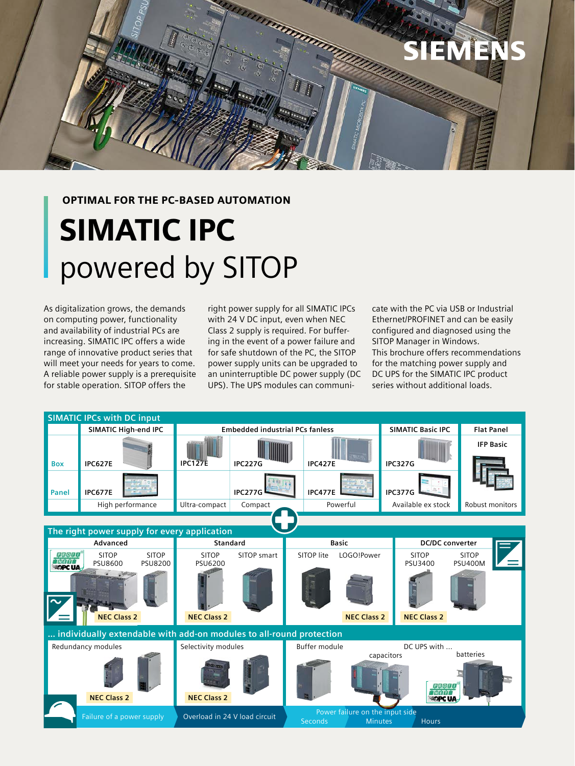

#### OPTIMAL FOR THE PC-BASED AUTOMATION

# SIMATIC IPC powered by SITOP

As digitalization grows, the demands on computing power, functionality and availability of industrial PCs are increasing. SIMATIC IPC offers a wide range of innovative product series that will meet your needs for years to come. A reliable power supply is a prerequisite for stable operation. SITOP offers the

right power supply for all SIMATIC IPCs with 24 V DC input, even when NEC Class 2 supply is required. For buffering in the event of a power failure and for safe shutdown of the PC, the SITOP power supply units can be upgraded to an uninterruptible DC power supply (DC UPS). The UPS modules can communicate with the PC via USB or Industrial Ethernet/PROFINET and can be easily configured and diagnosed using the SITOP Manager in Windows. This brochure offers recommendations for the matching power supply and DC UPS for the SIMATIC IPC product series without additional loads.

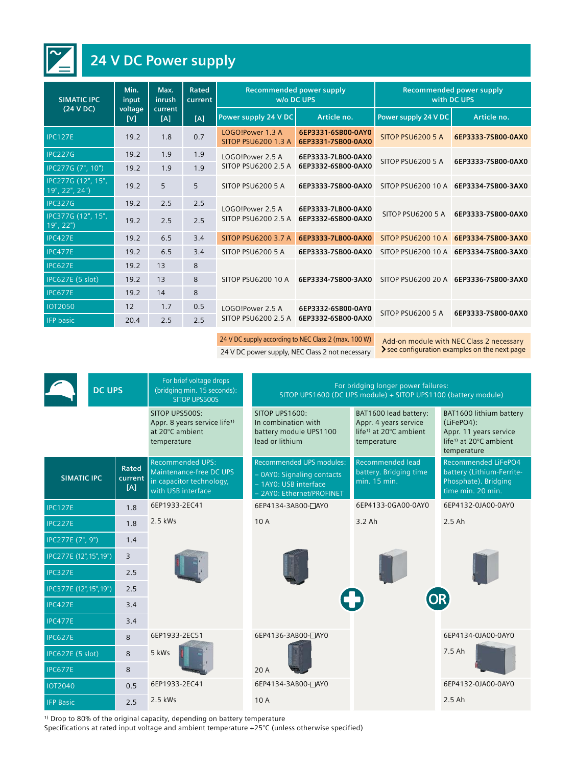

# **24 V DC Power supply**

| <b>SIMATIC IPC</b>                   | Min.<br>input<br>voltage<br>[V] | Max.<br>inrush<br>current<br>[A] | Rated<br>current<br>[A] | Recommended power supply<br>w/o DC UPS         |                                          | Recommended power supply<br>with DC UPS |                                       |
|--------------------------------------|---------------------------------|----------------------------------|-------------------------|------------------------------------------------|------------------------------------------|-----------------------------------------|---------------------------------------|
| (24 VDC)                             |                                 |                                  |                         | Power supply 24 V DC                           | Article no.                              | Power supply 24 V DC                    | Article no.                           |
| <b>IPC127E</b>                       | 19.2                            | 1.8                              | 0.7                     | LOGO!Power 1.3 A<br><b>SITOP PSU6200 1.3 A</b> | 6EP3331-6SB00-0AY0<br>6EP3331-7SB00-0AX0 | SITOP PSU6200 5 A                       | 6EP3333-7SB00-0AX0                    |
| IPC227G                              | 19.2                            | 1.9                              | 1.9                     | LOGO!Power 2.5 A                               | 6EP3333-7LB00-0AX0<br>6EP3332-6SB00-0AX0 | <b>SITOP PSU6200 5 A</b>                | 6EP3333-7SB00-0AX0                    |
| IPC277G (7", 10")                    | 19.2                            | 1.9                              | 1.9                     | SITOP PSU6200 2.5 A                            |                                          |                                         |                                       |
| IPC277G (12", 15",<br>19", 22", 24") | 19.2                            | 5                                | 5                       | SITOP PSU6200 5 A                              | 6EP3333-7SB00-0AX0                       |                                         | SITOP PSU6200 10 A 6EP3334-7SB00-3AX0 |
| <b>IPC327G</b>                       | 19.2                            | 2.5                              | 2.5                     | LOGO!Power 2.5 A                               | 6EP3333-7LB00-0AX0<br>6EP3332-6SB00-0AX0 | <b>SITOP PSU6200 5 A</b>                | 6EP3333-7SB00-0AX0                    |
| IPC377G (12", 15",<br>19", 22")      | 19.2                            | 2.5                              | 2.5                     | SITOP PSU6200 2.5 A                            |                                          |                                         |                                       |
| <b>IPC427E</b>                       | 19.2                            | 6.5                              | 3.4                     | <b>SITOP PSU6200 3.7 A</b>                     | 6EP3333-7LB00-0AX0                       |                                         | SITOP PSU6200 10 A 6EP3334-7SB00-3AX0 |
| <b>IPC477E</b>                       | 19.2                            | 6.5                              | 3.4                     | SITOP PSU6200 5 A                              | 6EP3333-7SB00-0AX0                       |                                         | SITOP PSU6200 10 A 6EP3334-7SB00-3AX0 |
| <b>IPC627E</b>                       | 19.2                            | 13                               | 8                       |                                                | 6EP3334-7SB00-3AX0                       |                                         | SITOP PSU6200 20 A 6EP3336-7SB00-3AX0 |
| <b>IPC627E (5 slot)</b>              | 19.2                            | 13                               | 8                       | SITOP PSU6200 10 A                             |                                          |                                         |                                       |
| <b>IPC677E</b>                       | 19.2                            | 14                               | 8                       |                                                |                                          |                                         |                                       |
| <b>IOT2050</b>                       | 12                              | 1.7                              | 0.5                     | LOGO!Power 2.5 A                               | 6EP3332-6SB00-0AY0<br>6EP3332-6SB00-0AX0 | SITOP PSU6200 5 A                       | 6EP3333-7SB00-0AX0                    |
| <b>IFP</b> basic                     | 20.4                            | 2.5                              | 2.5                     | SITOP PSU6200 2.5 A                            |                                          |                                         |                                       |

24 V DC supply according to NEC Class 2 (max. 100 W)<br>24 V DC nower supply NEC Class 2 not necessary <br>24 V DC nower supply NEC Class 2 not necessary <br>2 see configuration examples on the next page

24 V DC power supply, NEC Class 2 not necessary

| <b>DC UPS</b>           |                         | For brief voltage drops<br>(bridging min. 15 seconds):<br><b>SITOP UPS500S</b>                       | For bridging longer power failures:<br>SITOP UPS1600 (DC UPS module) + SITOP UPS1100 (battery module)        |                                                                                                     |                                                                                                                      |  |
|-------------------------|-------------------------|------------------------------------------------------------------------------------------------------|--------------------------------------------------------------------------------------------------------------|-----------------------------------------------------------------------------------------------------|----------------------------------------------------------------------------------------------------------------------|--|
|                         |                         | SITOP UPS500S:<br>Appr. 8 years service life <sup>1)</sup><br>at 20°C ambient<br>temperature         | SITOP UPS1600:<br>In combination with<br>battery module UPS1100<br>lead or lithium                           | BAT1600 lead battery:<br>Appr. 4 years service<br>life <sup>1)</sup> at 20°C ambient<br>temperature | BAT1600 lithium battery<br>(LiFePO4):<br>Appr. 11 years service<br>life <sup>1)</sup> at 20°C ambient<br>temperature |  |
| <b>SIMATIC IPC</b>      | Rated<br>current<br>[A] | <b>Recommended UPS:</b><br>Maintenance-free DC UPS<br>in capacitor technology,<br>with USB interface | Recommended UPS modules:<br>- OAYO: Signaling contacts<br>- 1AYO: USB interface<br>- 2AYO: Ethernet/PROFINET | <b>Recommended lead</b><br>battery. Bridging time<br>min. 15 min.                                   | <b>Recommended LiFePO4</b><br>battery (Lithium-Ferrite-<br>Phosphate). Bridging<br>time min. 20 min.                 |  |
| <b>IPC127E</b>          | 1.8                     | 6EP1933-2EC41                                                                                        | 6EP4134-3AB00-CAY0                                                                                           | 6EP4133-0GA00-0AY0                                                                                  | 6EP4132-0JA00-0AY0                                                                                                   |  |
| <b>IPC227E</b>          | 1.8                     | $2.5$ kWs                                                                                            | 10A                                                                                                          | $3.2$ Ah                                                                                            | $2.5$ Ah                                                                                                             |  |
| IPC277E (7", 9")        | 1.4                     |                                                                                                      |                                                                                                              | <b>OR</b>                                                                                           |                                                                                                                      |  |
| IPC277E (12", 15", 19") | $\overline{3}$          |                                                                                                      |                                                                                                              |                                                                                                     |                                                                                                                      |  |
| <b>IPC327E</b>          | 2.5                     |                                                                                                      |                                                                                                              |                                                                                                     |                                                                                                                      |  |
| IPC377E (12", 15", 19") | 2.5                     |                                                                                                      |                                                                                                              |                                                                                                     |                                                                                                                      |  |
| <b>IPC427E</b>          | 3.4                     |                                                                                                      |                                                                                                              |                                                                                                     |                                                                                                                      |  |
| IPC477E                 | 3.4                     |                                                                                                      |                                                                                                              |                                                                                                     |                                                                                                                      |  |
| <b>IPC627E</b>          | 8                       | 6EP1933-2EC51                                                                                        | 6EP4136-3AB00-CAY0                                                                                           |                                                                                                     | 6EP4134-0JA00-0AY0                                                                                                   |  |
| IPC627E (5 slot)        | 8                       | 5 kWs                                                                                                |                                                                                                              |                                                                                                     | 7.5 Ah                                                                                                               |  |
| <b>IPC677E</b>          | 8                       |                                                                                                      | 20A                                                                                                          |                                                                                                     |                                                                                                                      |  |
| <b>IOT2040</b>          | 0.5                     | 6EP1933-2EC41                                                                                        | 6EP4134-3AB00-CAY0                                                                                           | 6EP4132-0JA00-0AY0                                                                                  |                                                                                                                      |  |
| <b>IFP Basic</b>        | 2.5                     | 2.5 kWs                                                                                              | 10A                                                                                                          |                                                                                                     | $2.5$ Ah                                                                                                             |  |

<sup>1)</sup> Drop to 80% of the original capacity, depending on battery temperature

Specifications at rated input voltage and ambient temperature +25°C (unless otherwise specified)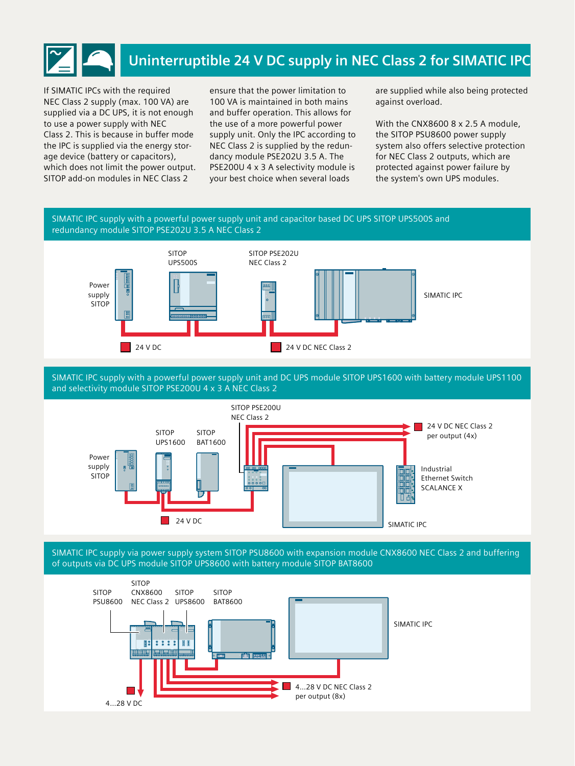

If SIMATIC IPCs with the required NEC Class 2 supply (max. 100 VA) are supplied via a DC UPS, it is not enough to use a power supply with NEC Class 2. This is because in buffer mode the IPC is supplied via the energy storage device (battery or capacitors), which does not limit the power output. SITOP add-on modules in NEC Class 2

ensure that the power limitation to 100 VA is maintained in both mains and buffer operation. This allows for the use of a more powerful power supply unit. Only the IPC according to NEC Class 2 is supplied by the redundancy module PSE202U 3.5 A. The PSE200U 4 x 3 A selectivity module is your best choice when several loads

are supplied while also being protected against overload.

With the CNX8600 8 x 2.5 A module, the SITOP PSU8600 power supply system also offers selective protection for NEC Class 2 outputs, which are protected against power failure by the system's own UPS modules.

## SIMATIC IPC supply with a powerful power supply unit and capacitor based DC UPS SITOP UPS500S and redundancy module SITOP PSE202U 3.5 A NEC Class 2



SIMATIC IPC supply with a powerful power supply unit and DC UPS module SITOP UPS1600 with battery module UPS1100 and selectivity module SITOP PSE200U 4 x 3 A NEC Class 2



SIMATIC IPC supply via power supply system SITOP PSU8600 with expansion module CNX8600 NEC Class 2 and buffering of outputs via DC UPS module SITOP UPS8600 with battery module SITOP BAT8600